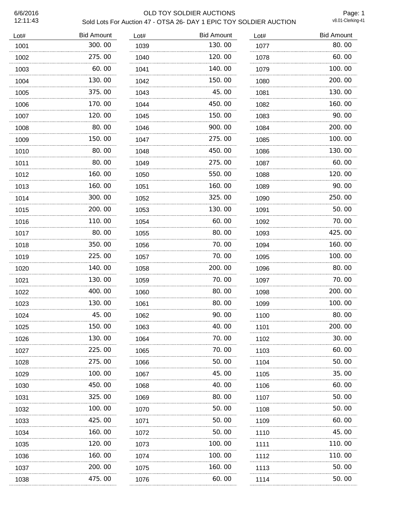# 6/6/2016 OLD TOY SOLDIER AUCTIONS Sold Lots For Auction 47 - OTSA 26- DAY 1 EPIC TOY SOLDIER AUCTION

Page: 1<br>v8.01-Clerking-41

| Lot# | <b>Bid Amount</b> | Lot# | <b>Bid Amount</b> | Lot# | <b>Bid Amount</b> |
|------|-------------------|------|-------------------|------|-------------------|
| 1001 | 300.00            | 1039 | 130.00            | 1077 | 80.00             |
| 1002 | 275.00            | 1040 | 120.00            | 1078 | 60.00             |
| 1003 | 60.00             | 1041 | 140.00            | 1079 | 100.00            |
| 1004 | 130.00            | 1042 | 150.00            | 1080 | 200.00            |
| 1005 | 375.00            | 1043 | 45.00             | 1081 | 130.00            |
| 1006 | 170.00            | 1044 | 450.00            | 1082 | 160.00            |
| 1007 | 120.00<br>.       | 1045 | 150,00            | 1083 | 90.00             |
| 1008 | 80.00             | 1046 | 900.00            | 1084 | 200.00            |
| 1009 | 150.00            | 1047 | 275.00            | 1085 | 100.00            |
| 1010 | 80.00             | 1048 | 450.00            | 1086 | 130.00            |
| 1011 | 80.00             | 1049 | 275.00            | 1087 | 60.00             |
| 1012 | 160.00            | 1050 | 550.00            | 1088 | 120.00            |
| 1013 | 160.00            | 1051 | 160.00            | 1089 | 90.00             |
| 1014 | 300.00            | 1052 | 325.00            | 1090 | 250.00            |
| 1015 | 200.00            | 1053 | 130.00            | 1091 | 50.00             |
| 1016 | 110.00            | 1054 | 60.00             | 1092 | 70.00             |
| 1017 | 80.00             | 1055 | 80.00             | 1093 | 425.00            |
| 1018 | 350.00            | 1056 | 70.00             | 1094 | 160.00            |
| 1019 | 225.00            | 1057 | 70.00             | 1095 | 100.00            |
| 1020 | 140.00            | 1058 | 200.00            | 1096 | 80.00             |
| 1021 | 130.00            | 1059 | 70.00             | 1097 | 70.00             |
| 1022 | 400.00            | 1060 | 80.00             | 1098 | 200.00            |
| 1023 | 130.00            | 1061 | 80.00             | 1099 | 100.00            |
| 1024 | 45.00             | 1062 | 90.00             | 1100 | 80.00             |
| 1025 | 150.00            | 1063 | 40.00             | 1101 | 200.00            |
| 1026 | 130.00            | 1064 | 70.00             | 1102 | 30.00             |
| 1027 | 225.00            | 1065 | 70. 00            | 1103 | 60.00             |
| 1028 | 275.00            | 1066 | 50.00             | 1104 | 50.00             |
| 1029 | 100. 00<br>.      | 1067 | 45.00             | 1105 | 35.00             |
| 1030 | 450.00            | 1068 | 40. 00            | 1106 | 60.00             |
| 1031 | 325.00<br>.       | 1069 | 80.00             | 1107 | 50.00             |
| 1032 | 100, 00           | 1070 | 50. 00            | 1108 | 50.00             |
| 1033 | 425.00            | 1071 | 50. 00            | 1109 | 60.00             |
| 1034 | 160. 00           | 1072 | 50. 00            | 1110 | 45.00             |
| 1035 | 120. 00           | 1073 | 100. 00           | 1111 | 110.00            |
| 1036 | 160.00            | 1074 | 100.00            | 1112 | 110.00            |
| 1037 | 200.00            | 1075 | 160.00            | 1113 | 50.00             |
| 1038 | 475.00            | 1076 | 60.00             | 1114 | 50.00             |
|      |                   |      |                   |      |                   |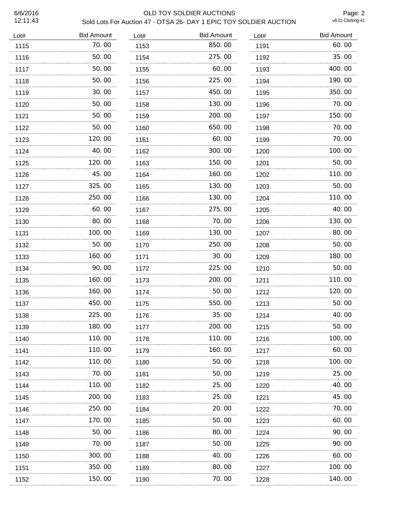# 6/6/2016 OLD TOY SOLDIER AUCTIONS Sold Lots For Auction 47 - OTSA 26- DAY 1 EPIC TOY SOLDIER AUCTION

Page: 2<br>v8.01-Clerking-41

| Lot# | <b>Bid Amount</b> | Lot# | <b>Bid Amount</b> | Lot# | <b>Bid Amount</b> |
|------|-------------------|------|-------------------|------|-------------------|
| 1115 | 70.00             | 1153 | 850.00            | 1191 | 60.00             |
| 1116 | 50.00             | 1154 | 275.00            | 1192 | 35.00             |
| 1117 | 50.00             | 1155 | 60.00             | 1193 | 400.00            |
| 1118 | 50.00             | 1156 | 225.00            | 1194 | 190.00            |
| 1119 | 30.00             | 1157 | 450.00            | 1195 | 350.00            |
| 1120 | 50.00             | 1158 | 130.00            | 1196 | 70.00             |
| 1121 | 50.00<br>.        | 1159 | 200, 00           | 1197 | 150.00            |
| 1122 | 50.00             | 1160 | 650.00            | 1198 | 70.00             |
| 1123 | 120.00            | 1161 | 60.00             | 1199 | 70.00             |
| 1124 | 40.00             | 1162 | 300.00            | 1200 | 100.00            |
| 1125 | 120.00            | 1163 | 150.00            | 1201 | 50.00             |
| 1126 | 45.00             | 1164 | 160.00            | 1202 | 110.00            |
| 1127 | 325.00            | 1165 | 130.00            | 1203 | 50.00             |
| 1128 | 250.00            | 1166 | 130.00            | 1204 | 110.00            |
| 1129 | 60.00             | 1167 | 275.00            | 1205 | 40.00             |
| 1130 | 80.00             | 1168 | 70.00             | 1206 | 130.00            |
| 1131 | 100.00            | 1169 | 130.00            | 1207 | 80.00             |
| 1132 | 50.00             | 1170 | 250.00            | 1208 | 50.00             |
| 1133 | 160.00            | 1171 | 30.00             | 1209 | 180.00            |
| 1134 | 90.00             | 1172 | 225.00            | 1210 | 50.00             |
| 1135 | 160.00            | 1173 | 200.00            | 1211 | 110.00            |
| 1136 | 160.00            | 1174 | 50.00             | 1212 | 120.00            |
| 1137 | 450.00            | 1175 | 550.00            | 1213 | 50.00             |
| 1138 | 225.00            | 1176 | 35.00             | 1214 | 40.00             |
| 1139 | 180.00            | 1177 | 200.00            | 1215 | 50.00             |
| 1140 | 110.00            | 1178 | 110.00            | 1216 | 100.00            |
| 1141 | 110. 00<br>.      | 1179 | 160.00            | 1217 | 60.00             |
| 1142 | 110. 00           | 1180 | 50.00             | 1218 | 100. 00           |
| 1143 | 70.00<br>.        | 1181 | 50. 00            | 1219 | 25.00             |
| 1144 | 110.00            | 1182 | 25.00             | 1220 | 40.00             |
| 1145 | 200.00<br>.       | 1183 | 25.00             | 1221 | 45.00             |
| 1146 | 250.00            | 1184 | 20.00             | 1222 | 70. 00            |
| 1147 | 170. 00           | 1185 | 50. 00            | 1223 | 60.00             |
| 1148 | 50.00             | 1186 | 80.00             | 1224 | 90. 00            |
| 1149 | 70.00             | 1187 | 50. 00            | 1225 | 90. OO            |
| 1150 | 300.00            | 1188 | 40.00             | 1226 | 60.00             |
| 1151 | 350.00            | 1189 | 80.00             | 1227 | 100.00            |
| 1152 | 150.00            | 1190 | 70.00             | 1228 | 140.00            |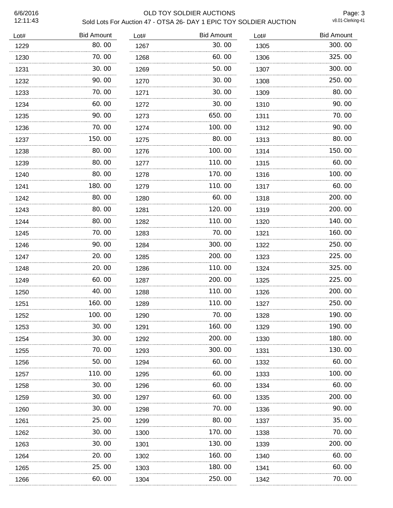# 6/6/2016 OLD TOY SOLDIER AUCTIONS Sold Lots For Auction 47 - OTSA 26- DAY 1 EPIC TOY SOLDIER AUCTION

Page: 3<br>v8.01-Clerking-41

| Lot# | <b>Bid Amount</b> | Lot# | <b>Bid Amount</b> | Lot# | <b>Bid Amount</b> |
|------|-------------------|------|-------------------|------|-------------------|
| 1229 | 80.00             | 1267 | 30.00             | 1305 | 300.00            |
| 1230 | 70.00             | 1268 | 60.00             | 1306 | 325.00            |
| 1231 | 30.00             | 1269 | 50.00             | 1307 | 300.00            |
| 1232 | 90.00             | 1270 | 30.00             | 1308 | 250.00            |
| 1233 | 70.00             | 1271 | 30.00             | 1309 | 80.00             |
| 1234 | 60.00             | 1272 | 30.00             | 1310 | 90.00             |
| 1235 | 90.00             | 1273 | 650.00            | 1311 | 70.00             |
| 1236 | 70.00             | 1274 | 100.00            | 1312 | 90.00             |
| 1237 | 150.00            | 1275 | 80.00             | 1313 | 80.00             |
| 1238 | 80.00             | 1276 | 100.00            | 1314 | 150.00            |
| 1239 | 80.00             | 1277 | 110.00            | 1315 | 60.00             |
| 1240 | 80.00             | 1278 | 170.00            | 1316 | 100.00            |
| 1241 | 180.00            | 1279 | 110.00            | 1317 | 60.00             |
| 1242 | 80.00             | 1280 | 60.00             | 1318 | 200.00            |
| 1243 | 80.00             | 1281 | 120.00            | 1319 | 200.00            |
| 1244 | 80.00             | 1282 | 110.00            | 1320 | 140.00            |
| 1245 | 70.00             | 1283 | 70.00             | 1321 | 160.00            |
| 1246 | 90.00             | 1284 | 300.00            | 1322 | 250.00            |
| 1247 | 20.00             | 1285 | 200.00            | 1323 | 225.00            |
| 1248 | 20.00             | 1286 | 110.00            | 1324 | 325.00            |
| 1249 | 60.00             | 1287 | 200.00            | 1325 | 225.00            |
| 1250 | 40.00             | 1288 | 110.00            | 1326 | 200.00            |
| 1251 | 160.00            | 1289 | 110.00            | 1327 | 250.00            |
| 1252 | 100.00            | 1290 | 70.00             | 1328 | 190.00            |
| 1253 | 30.00             | 1291 | 160.00            | 1329 | 190.00            |
| 1254 | 30.00             | 1292 | 200.00            | 1330 | 180.00            |
| 1255 | 70.00             | 1293 | 300.00            | 1331 | 130.00            |
| 1256 | 50.00             | 1294 | 60.00             | 1332 | 60.00             |
| 1257 | 110.00            | 1295 | 60.00             | 1333 | 100.00            |
| 1258 | 30.00             | 1296 | 60.00             | 1334 | 60.00             |
| 1259 | 30.00             | 1297 | 60.00             | 1335 | 200.00            |
| 1260 | 30.00             | 1298 | 70.00             | 1336 | 90.00             |
| 1261 | 25.00             | 1299 | 80.00             | 1337 | 35.00             |
| 1262 | 30.00             | 1300 | 170.00            | 1338 | 70.00             |
| 1263 | 30.00             | 1301 | 130.00            | 1339 | 200.00            |
| 1264 | 20.00             | 1302 | 160.00            | 1340 | 60.00             |
| 1265 | 25.00             | 1303 | 180.00            | 1341 | 60.00             |
| 1266 | 60.00             | 1304 | 250.00            | 1342 | 70. 00            |
|      |                   |      |                   |      |                   |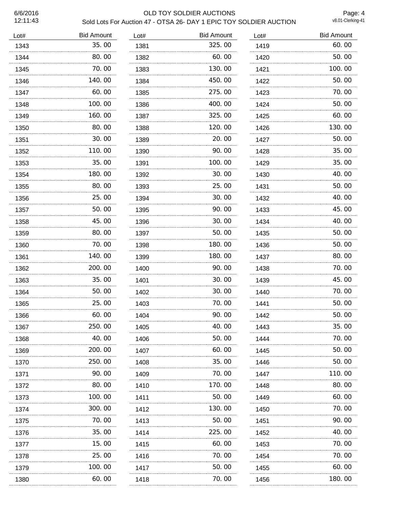# 6/6/2016 OLD TOY SOLDIER AUCTIONS Sold Lots For Auction 47 - OTSA 26- DAY 1 EPIC TOY SOLDIER AUCTION

Page: 4<br>v8.01-Clerking-41

| <b>Bid Amount</b> | Lot#        | <b>Bid Amount</b> | Lot# | <b>Bid Amount</b> |
|-------------------|-------------|-------------------|------|-------------------|
| 35.00             | 1381        | 325.00            | 1419 | 60.00             |
| 80.00             | 1382        | 60.00             | 1420 | 50.00             |
| 70.00             | 1383        | 130.00            | 1421 | 100.00            |
| 140.00            | 1384        | 450.00            | 1422 | 50.00             |
| 60.00             | 1385        | 275.00            | 1423 | 70.00             |
| 100.00            | 1386        | 400.00            | 1424 | 50.00             |
| 160.00            | 1387        | 325.00            | 1425 | 60.00             |
| 80.00             | 1388        | 120.00            | 1426 | 130.00            |
| 30.00             | 1389        | 20.00             | 1427 | 50.00             |
| 110.00            | 1390        | 90.00             | 1428 | 35.00             |
| 35.00             | 1391        | 100.00            | 1429 | 35.00             |
| 180.00            | 1392        | 30.00             | 1430 | 40.00             |
| 80.00             | 1393        | 25.00             | 1431 | 50.00             |
| 25.00             | 1394        | 30.00             | 1432 | 40.00             |
| 50.00             | 1395        | 90.00             | 1433 | 45.00             |
| 45.00             | 1396        | 30.00             | 1434 | 40.00             |
| 80.00             | 1397        | 50.00             | 1435 | 50.00             |
| 70.00             | 1398        | 180.00            | 1436 | 50.00             |
| 140.00            | 1399        | 180.00            | 1437 | 80.00             |
| 200.00            | 1400        | 90.00             | 1438 | 70.00             |
| 35.00             | 1401        | 30.00             | 1439 | 45.00             |
| 50.00             | 1402        | 30.00             | 1440 | 70.00             |
| 25.00             | 1403        | 70.00             | 1441 | 50.00             |
| 60.00             | 1404        | 90.00             | 1442 | 50.00             |
| 250.00            | 1405        | 40.00             | 1443 | 35.00             |
| 40.00             | 1406        | 50.00             | 1444 | 70.00             |
| 200.00            | 1407        | 60.00             | 1445 | 50.00             |
| 250.00            | 1408        | 35.00             | 1446 | 50.00             |
| 90.00             | 1409        | 70.00             | 1447 | 110.00            |
| 80.00             | 1410        | 170.00            | 1448 | 80.00             |
| 100. 00           | 1411        | 50.00             | 1449 | 60.00             |
| 300.00            | 1412        | 130.00            | 1450 | 70. 00            |
| 70. 00            | 1413        | 50.00             | 1451 | 90. OO            |
| 35.00             | 1414        | 225.00            | 1452 | 40.00             |
| 15.00             | 1415        | 60.00             | 1453 | 70.00             |
| 25.00             | 1416        | 70.00             | 1454 | 70.00             |
| 100. 00           | 1417        | 50.00             | 1455 | 60.00             |
| 60.00             | 1418        | 70.00             | 1456 | 180.00            |
|                   | .<br>.<br>. |                   |      |                   |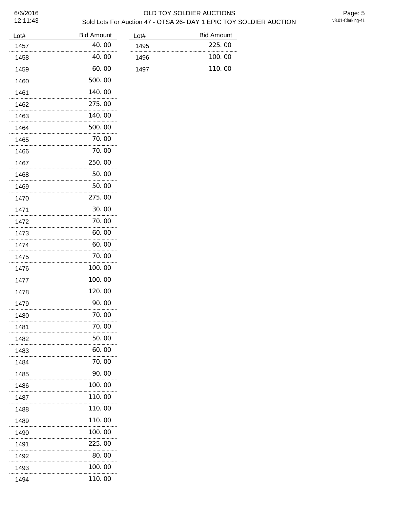# 6/6/2016 OLD TOY SOLDIER AUCTIONS Sold Lots For Auction 47 - OTSA 26- DAY 1 EPIC TOY SOLDIER AUCTION

Page: 5<br>v8.01-Clerking-41

| Lot#      | <b>Bid Amount</b> |
|-----------|-------------------|
| 1457      | 40.00             |
| 1458      | 40.00             |
| 1459      | 60.00             |
| 1460      | 500. 00           |
| 1461      | 140.00            |
| 1462      | 275.00            |
| 1463      | 140.00            |
| 1464      | 500. 00           |
| 1465      | 70.00             |
| 1466      | 70.00             |
| 1467      | 250.00            |
| 1468      | 50.00             |
| 1469      | 50.00             |
| 1470      | 275.00            |
| 1471      | 30.00             |
| 1472      | 70.00             |
| 1473      | 60.00             |
| 1474      | 60.00             |
| 1475      | 70.00             |
| 1476      | 100.00            |
| 1477      | 100. 00           |
| 1478      | 120.00            |
| 1479      | 90. OO            |
| 1480      | 70. 00            |
| 1481      | 70.00             |
| 1482      | 50. 00            |
| 1483      | 60.00             |
| 1484      | 70.00             |
| 1485      | 90.00             |
| 1486      | 100.00            |
| 1487      | 110.00            |
| 1488      | 110.00            |
| 1489      | 110.00            |
| 1490<br>. | 100.00            |
| 1491      | 225,00            |
| 1492      | 80.00             |
| 1493      | 100.00            |
| 1494      | 110.00            |

| <b>Bid Amount</b> |
|-------------------|
| 225.00            |
| 100.00            |
| 110.00            |
|                   |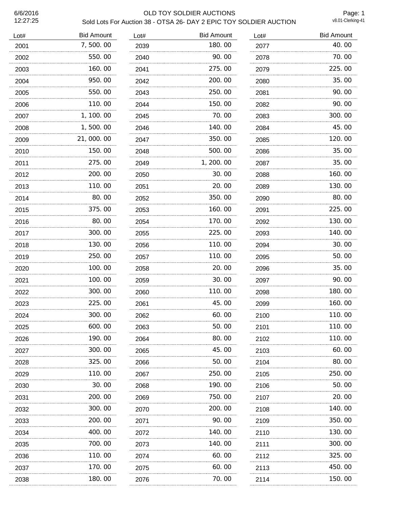# 6/6/2016 OLD TOY SOLDIER AUCTIONS Sold Lots For Auction 38 - OTSA 26- DAY 2 EPIC TOY SOLDIER AUCTION

Page: 1<br>v8.01-Clerking-41

| Lot# | <b>Bid Amount</b> | Lot# | <b>Bid Amount</b> | Lot# | <b>Bid Amount</b> |
|------|-------------------|------|-------------------|------|-------------------|
| 2001 | 7,500.00          | 2039 | 180.00            | 2077 | 40.00             |
| 2002 | 550.00            | 2040 | 90.00             | 2078 | 70.00             |
| 2003 | 160.00            | 2041 | 275.00            | 2079 | 225.00            |
| 2004 | 950.00            | 2042 | 200.00            | 2080 | 35.00             |
| 2005 | 550.00            | 2043 | 250.00            | 2081 | 90.00             |
| 2006 | 110.00            | 2044 | 150.00            | 2082 | 90.00             |
| 2007 | 1, 100. 00        | 2045 | 70.00             | 2083 | 300.00            |
| 2008 | 1,500.00          | 2046 | 140.00            | 2084 | 45.00             |
| 2009 | 21,000.00         | 2047 | 350.00            | 2085 | 120.00            |
| 2010 | 150.00            | 2048 | 500.00            | 2086 | 35.00             |
| 2011 | 275.00            | 2049 | 1, 200. 00        | 2087 | 35.00             |
| 2012 | 200.00            | 2050 | 30.00             | 2088 | 160.00            |
| 2013 | 110.00            | 2051 | 20.00             | 2089 | 130.00            |
| 2014 | 80.00             | 2052 | 350.00            | 2090 | 80.00             |
| 2015 | 375.00            | 2053 | 160.00            | 2091 | 225.00            |
| 2016 | 80.00             | 2054 | 170.00            | 2092 | 130.00            |
| 2017 | 300.00            | 2055 | 225,00            | 2093 | 140.00            |
| 2018 | 130.00            | 2056 | 110.00            | 2094 | 30.00             |
| 2019 | 250.00            | 2057 | 110.00            | 2095 | 50.00             |
| 2020 | 100.00            | 2058 | 20.00             | 2096 | 35.00             |
| 2021 | 100.00            | 2059 | 30.00             | 2097 | 90.00             |
| 2022 | 300.00            | 2060 | 110.00            | 2098 | 180.00            |
| 2023 | 225.00            | 2061 | 45.00             | 2099 | 160.00            |
| 2024 | 300.00            | 2062 | 60.00             | 2100 | 110.00            |
| 2025 | 600.00            | 2063 | 50.00             | 2101 | 110.00            |
| 2026 | 190.00            | 2064 | 80.00             | 2102 | 110.00            |
| 2027 | 300.00            | 2065 | 45.00             | 2103 | 60.00             |
| 2028 | 325.00            | 2066 | 50. 00            | 2104 | 80.00             |
| 2029 | 110.00            | 2067 | 250.00            | 2105 | 250.00            |
| 2030 | 30.00             | 2068 | 190.00            | 2106 | 50.00             |
| 2031 | 200. 00           | 2069 | 750.00            | 2107 | 20.00             |
| 2032 | 300.00            | 2070 | 200.00            | 2108 | 140. 00           |
| 2033 | 200. 00           | 2071 | 90.00             | 2109 | 350.00            |
| 2034 | 400.00            | 2072 | 140.00            | 2110 | 130.00            |
| 2035 | 700.00            | 2073 | 140.00            | 2111 | 300.00            |
| 2036 | 110.00            | 2074 | 60.00             | 2112 | 325.00            |
| 2037 | 170.00            | 2075 | 60.00             | 2113 | 450.00            |
| 2038 | 180.00            | 2076 | 70.00             | 2114 | 150.00            |
|      |                   |      |                   |      |                   |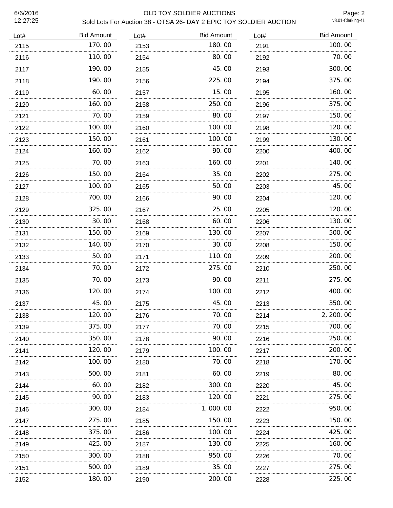# 6/6/2016 OLD TOY SOLDIER AUCTIONS Sold Lots For Auction 38 - OTSA 26- DAY 2 EPIC TOY SOLDIER AUCTION

Page: 2<br>v8.01-Clerking-41

| Lot# | <b>Bid Amount</b> | Lot# | <b>Bid Amount</b> | Lot# | <b>Bid Amount</b> |
|------|-------------------|------|-------------------|------|-------------------|
| 2115 | 170.00            | 2153 | 180.00            | 2191 | 100.00            |
| 2116 | 110.00            | 2154 | 80.00             | 2192 | 70.00             |
| 2117 | 190.00            | 2155 | 45.00             | 2193 | 300.00            |
| 2118 | 190.00            | 2156 | 225.00            | 2194 | 375.00            |
| 2119 | 60.00             | 2157 | 15.00             | 2195 | 160.00            |
| 2120 | 160.00            | 2158 | 250.00            | 2196 | 375.00            |
| 2121 | 70.00             | 2159 | 80.00             | 2197 | 150.00            |
| 2122 | 100, 00           | 2160 | 100, 00           | 2198 | 120.00            |
| 2123 | 150.00            | 2161 | 100.00            | 2199 | 130.00            |
| 2124 | 160.00            | 2162 | 90.00             | 2200 | 400.00            |
| 2125 | 70.00             | 2163 | 160.00            | 2201 | 140.00            |
| 2126 | 150.00            | 2164 | 35.00             | 2202 | 275.00            |
| 2127 | 100.00<br>        | 2165 | 50.00<br>.        | 2203 | 45.00             |
| 2128 | 700.00            | 2166 | 90.00             | 2204 | 120.00            |
| 2129 | 325.00            | 2167 | 25.00             | 2205 | 120.00            |
| 2130 | 30.00             | 2168 | 60.00             | 2206 | 130.00            |
| 2131 | 150, 00           | 2169 | 130.00            | 2207 | 500.00            |
| 2132 | 140.00            | 2170 | 30.00             | 2208 | 150.00            |
| 2133 | 50.00             | 2171 | 110.00            | 2209 | 200.00            |
| 2134 | 70.00             | 2172 | 275.00            | 2210 | 250.00            |
| 2135 | 70.00             | 2173 | 90.00             | 2211 | 275.00            |
| 2136 | 120.00            | 2174 | 100.00            | 2212 | 400.00            |
| 2137 | 45.00             | 2175 | 45.00             | 2213 | 350.00            |
| 2138 | 120.00            | 2176 | 70.00             | 2214 | 2, 200. 00        |
| 2139 | 375.00            | 2177 | 70.00             | 2215 | 700.00            |
| 2140 | 350.00            | 2178 | 90.00             | 2216 | 250.00            |
| 2141 | 120. 00           | 2179 | 100. 00           | 2217 | 200.00            |
| 2142 | 100.00            | 2180 | 70.00             | 2218 | 170.00            |
| 2143 | 500.00            | 2181 | 60.00             | 2219 | 80.00             |
| 2144 | 60.00             | 2182 | 300.00            | 2220 | 45.00             |
| 2145 | 90.00             | 2183 | 120,00            | 2221 | 275.00            |
| 2146 | 300.00            | 2184 | 1,000.00          | 2222 | 950.00            |
| 2147 | 275.00            | 2185 | 150.00            | 2223 | 150. 00           |
| 2148 | 375.00            | 2186 | 100.00            | 2224 | 425.00            |
| 2149 | 425.00<br>.       | 2187 | 130.00            | 2225 | 160.00            |
| 2150 | 300.00            | 2188 | 950.00            | 2226 | 70.00             |
| 2151 | 500.00            | 2189 | 35.00             | 2227 | 275.00            |
| 2152 | 180.00            | 2190 | 200.00            | 2228 | 225.00            |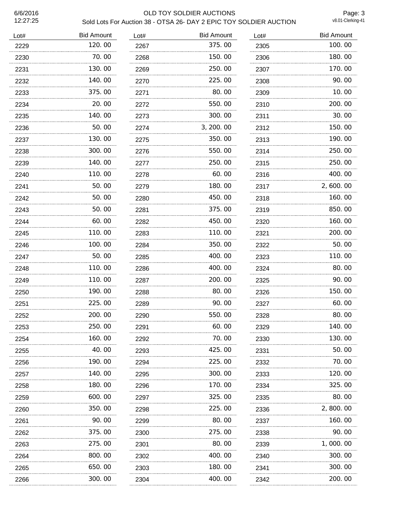#### 6/6/2016 OLD TOY SOLDIER AUCTIONS Sold Lots For Auction 38 - OTSA 26- DAY 2 EPIC TOY SOLDIER AUCTION

Page: 3<br>v8.01-Clerking-41

| Lot# | <b>Bid Amount</b> | Lot# | <b>Bid Amount</b> | Lot# | <b>Bid Amount</b> |
|------|-------------------|------|-------------------|------|-------------------|
| 2229 | 120.00            | 2267 | 375.00            | 2305 | 100.00            |
| 2230 | 70.00             | 2268 | 150.00            | 2306 | 180.00            |
| 2231 | 130.00            | 2269 | 250.00            | 2307 | 170.00            |
| 2232 | 140.00            | 2270 | 225,00            | 2308 | 90.00             |
| 2233 | 375.00            | 2271 | 80.00             | 2309 | 10.00             |
| 2234 | 20.00             | 2272 | 550.00            | 2310 | 200.00            |
| 2235 | 140.00            | 2273 | 300.00            | 2311 | 30.00             |
| 2236 | 50.00             | 2274 | 3, 200.00         | 2312 | 150.00            |
| 2237 | 130.00            | 2275 | 350.00            | 2313 | 190.00            |
| 2238 | 300.00            | 2276 | 550.00            | 2314 | 250.00            |
| 2239 | 140.00            | 2277 | 250.00            | 2315 | 250.00            |
| 2240 | 110.00            | 2278 | 60.00             | 2316 | 400.00            |
| 2241 | 50.00             | 2279 | 180.00            | 2317 | 2,600.00          |
| 2242 | 50.00             | 2280 | 450.00            | 2318 | 160.00            |
| 2243 | 50.00             | 2281 | 375.00            | 2319 | 850.00            |
| 2244 | 60.00             | 2282 | 450.00            | 2320 | 160.00            |
| 2245 | 110.00            | 2283 | 110.00            | 2321 | 200.00            |
| 2246 | 100.00            | 2284 | 350.00            | 2322 | 50.00             |
| 2247 | 50.00             | 2285 | 400.00            | 2323 | 110.00            |
| 2248 | 110.00            | 2286 | 400.00            | 2324 | 80.00             |
| 2249 | 110.00            | 2287 | 200.00            | 2325 | 90.00             |
| 2250 | 190.00            | 2288 | 80.00             | 2326 | 150.00            |
| 2251 | 225.00            | 2289 | 90.00             | 2327 | 60.00             |
| 2252 | 200.00            | 2290 | 550.00            | 2328 | 80.00             |
| 2253 | 250.00            | 2291 | 60.00             | 2329 | 140.00            |
| 2254 | 160.00            | 2292 | 70.00             | 2330 | 130.00            |
| 2255 | 40.00<br>.        | 2293 | 425.00            | 2331 | 50. 00            |
| 2256 | 190.00            | 2294 | 225.00            | 2332 | 70.00             |
| 2257 | 140. 00           | 2295 | 300.00            | 2333 | 120.00            |
| 2258 | 180.00            | 2296 | 170.00            | 2334 | 325,00            |
| 2259 | 600.00            | 2297 | 325.00            | 2335 | 80.00             |
| 2260 | 350.00            | 2298 | 225.00            | 2336 | 2,800.00          |
| 2261 | 90.00             | 2299 | 80.00             | 2337 | 160.00            |
| 2262 | 375.00            | 2300 | 275.00            | 2338 | 90.00             |
| 2263 | 275.00            | 2301 | 80.00             | 2339 | 1,000.00          |
| 2264 | 800.00            | 2302 | 400.00            | 2340 | 300.00            |
| 2265 | 650.00            | 2303 | 180.00            | 2341 | 300.00            |
| 2266 | 300. 00           | 2304 | 400.00            | 2342 | 200.00            |
|      | .                 |      |                   |      |                   |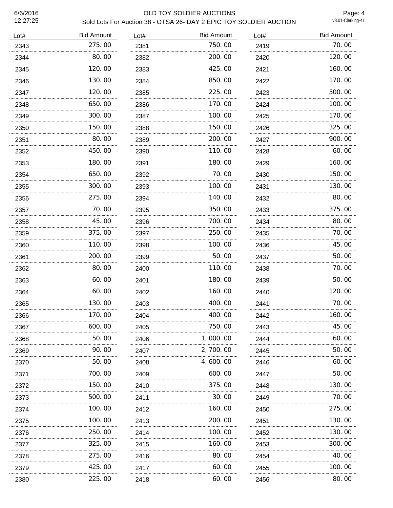# 6/6/2016 OLD TOY SOLDIER AUCTIONS Sold Lots For Auction 38 - OTSA 26- DAY 2 EPIC TOY SOLDIER AUCTION

Page: 4<br>v8.01-Clerking-41

| Lot# | <b>Bid Amount</b> | Lot# | <b>Bid Amount</b> | Lot# | <b>Bid Amount</b> |
|------|-------------------|------|-------------------|------|-------------------|
| 2343 | 275.00            | 2381 | 750.00            | 2419 | 70.00             |
| 2344 | 80.00             | 2382 | 200.00            | 2420 | 120.00            |
| 2345 | 120.00            | 2383 | 425.00            | 2421 | 160.00            |
| 2346 | 130.00            | 2384 | 850.00            | 2422 | 170.00            |
| 2347 | 120, 00<br>.      | 2385 | 225.00            | 2423 | 500.00            |
| 2348 | 650.00            | 2386 | 170.00            | 2424 | 100.00            |
| 2349 | 300.00            | 2387 | 100.00            | 2425 | 170.00            |
| 2350 | 150.00            | 2388 | 150.00            | 2426 | 325.00            |
| 2351 | 80.00             | 2389 | 200.00            | 2427 | 900.00            |
| 2352 | 450.00            | 2390 | 110.00            | 2428 | 60.00             |
| 2353 | 180.00            | 2391 | 180.00            | 2429 | 160.00            |
| 2354 | 650.00            | 2392 | 70.00             | 2430 | 150.00            |
| 2355 | 300.00            | 2393 | 100.00            | 2431 | 130.00            |
| 2356 | 275.00            | 2394 | 140.00            | 2432 | 80.00             |
| 2357 | 70.00             | 2395 | 350.00            | 2433 | 375.00            |
| 2358 | 45.00             | 2396 | 700.00            | 2434 | 80.00             |
| 2359 | 375.00            | 2397 | 250.00            | 2435 | 70.00             |
| 2360 | 110.00            | 2398 | 100.00            | 2436 | 45.00             |
| 2361 | 200.00            | 2399 | 50.00             | 2437 | 50.00             |
| 2362 | 80.00             | 2400 | 110.00            | 2438 | 70.00             |
| 2363 | 60.00             | 2401 | 180.00            | 2439 | 50.00             |
| 2364 | 60.00             | 2402 | 160.00            | 2440 | 120.00            |
| 2365 | 130.00            | 2403 | 400.00            | 2441 | 70.00             |
| 2366 | 170.00            | 2404 | 400.00            | 2442 | 160.00            |
| 2367 | 600.00            | 2405 | 750.00            | 2443 | 45.00             |
| 2368 | 50.00             | 2406 | 1,000.00          | 2444 | 60.00             |
| 2369 | 90. OO<br>.       | 2407 | 2, 700. 00        | 2445 | 50.00             |
| 2370 | 50.00             | 2408 | 4, 600. 00        | 2446 | 60.00             |
| 2371 | 700. 00           | 2409 | 600.00            | 2447 | 50.00             |
| 2372 | 150. 00           | 2410 | 375.00            | 2448 | 130.00            |
| 2373 | 500. 00           | 2411 | 30.00             | 2449 | 70.00             |
| 2374 | 100.00            | 2412 | 160.00            | 2450 | 275.00            |
| 2375 | 100. 00           | 2413 | 200.00            | 2451 | 130. 00           |
| 2376 | 250.00            | 2414 | 100.00            | 2452 | 130. 00           |
| 2377 | 325.00            | 2415 | 160.00            | 2453 | 300.00            |
| 2378 | 275.00            | 2416 | 80.00             | 2454 | 40.00             |
| 2379 | 425.00            | 2417 | 60.00             | 2455 | 100.00            |
| 2380 | 225.00            | 2418 | 60.00             | 2456 | 80.00             |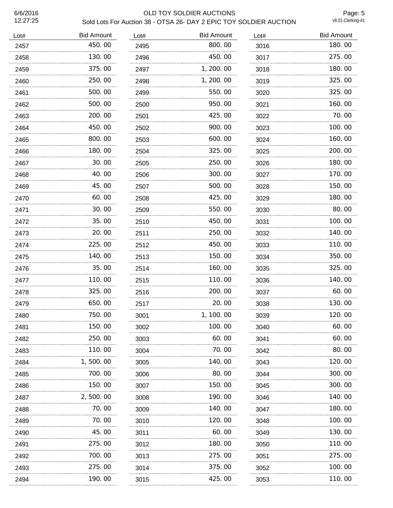# 6/6/2016 OLD TOY SOLDIER AUCTIONS Sold Lots For Auction 38 - OTSA 26- DAY 2 EPIC TOY SOLDIER AUCTION

Page: 5<br>v8.01-Clerking-41

| Lot# | <b>Bid Amount</b> | Lot# | <b>Bid Amount</b> | Lot# | <b>Bid Amount</b> |
|------|-------------------|------|-------------------|------|-------------------|
| 2457 | 450.00            | 2495 | 800.00            | 3016 | 180.00            |
| 2458 | 130.00            | 2496 | 450.00            | 3017 | 275.00            |
| 2459 | 375.00            | 2497 | 1, 200. 00        | 3018 | 180.00            |
| 2460 | 250.00            | 2498 | 1, 200. 00        | 3019 | 325.00            |
| 2461 | 500.00            | 2499 | 550.00            | 3020 | 325.00            |
| 2462 | 500.00            | 2500 | 950.00            | 3021 | 160.00            |
| 2463 | 200.00            | 2501 | 425.00            | 3022 | 70.00             |
| 2464 | 450.00            | 2502 | 900.00            | 3023 | 100.00            |
| 2465 | 800.00            | 2503 | 600.00            | 3024 | 160.00            |
| 2466 | 180.00            | 2504 | 325.00            | 3025 | 200.00            |
| 2467 | 30.00             | 2505 | 250.00            | 3026 | 180.00            |
| 2468 | 40.00             | 2506 | 300.00            | 3027 | 170.00            |
| 2469 | 45.00             | 2507 | 500.00            | 3028 | 150.00            |
| 2470 | 60.00             | 2508 | 425.00            | 3029 | 180.00            |
| 2471 | 30.00             | 2509 | 550.00            | 3030 | 80.00             |
| 2472 | 35.00             | 2510 | 450.00            | 3031 | 100.00            |
| 2473 | 20.00             | 2511 | 250.00            | 3032 | 140.00            |
| 2474 | 225.00            | 2512 | 450.00            | 3033 | 110.00            |
| 2475 | 140.00            | 2513 | 150.00            | 3034 | 350.00            |
| 2476 | 35.00             | 2514 | 160.00            | 3035 | 325.00            |
| 2477 | 110.00            | 2515 | 110.00            | 3036 | 140.00            |
| 2478 | 325.00            | 2516 | 200.00            | 3037 | 60.00             |
| 2479 | 650.00            | 2517 | 20.00             | 3038 | 130.00            |
| 2480 | 750.00            | 3001 | 1, 100. 00        | 3039 | 120.00            |
| 2481 | 150. 00           | 3002 | 100. 00           | 3040 | 60. 00            |
| 2482 | 250.00            | 3003 | 60.00             | 3041 | 60. 00            |
| 2483 | 110.00            | 3004 | 70.00             | 3042 | 80.00             |
| 2484 | 1, 500. 00        | 3005 | 140. 00           | 3043 | 120. 00           |
| 2485 | 700.00            | 3006 | 80.00             | 3044 | 300.00            |
| 2486 | 150.00            | 3007 | 150.00            | 3045 | 300. 00           |
| 2487 | 2,500.00          | 3008 | 190.00            | 3046 | 140. 00           |
| 2488 | 70. 00            | 3009 | 140. 00           | 3047 | 180.00            |
| 2489 | 70.00             | 3010 | 120.00            | 3048 | 100.00            |
| 2490 | 45.00             | 3011 | 60.00             | 3049 | 130.00            |
| 2491 | 275.00            | 3012 | 180.00            | 3050 | 110.00            |
| 2492 | 700. 00           | 3013 | 275.00            | 3051 | 275.00            |
| 2493 | 275.00            | 3014 | 375.00            | 3052 | 100.00            |
| 2494 | 190.00            | 3015 | 425.00            | 3053 | 110.00            |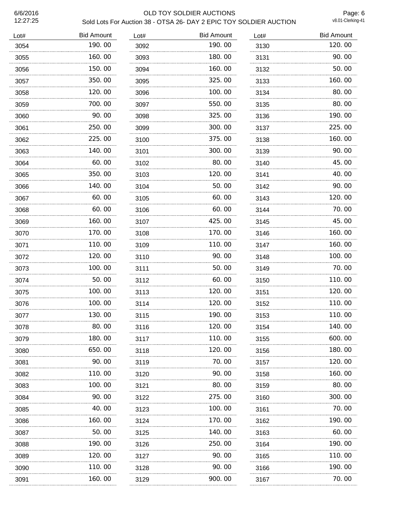#### 6/6/2016 OLD TOY SOLDIER AUCTIONS Sold Lots For Auction 38 - OTSA 26- DAY 2 EPIC TOY SOLDIER AUCTION

Page: 6<br>v8.01-Clerking-41

| Lot# | <b>Bid Amount</b> | Lot# | <b>Bid Amount</b> | Lot# | <b>Bid Amount</b> |
|------|-------------------|------|-------------------|------|-------------------|
| 3054 | 190.00            | 3092 | 190.00            | 3130 | 120.00            |
| 3055 | 160.00            | 3093 | 180.00            | 3131 | 90.00             |
| 3056 | 150.00            | 3094 | 160.00            | 3132 | 50.00             |
| 3057 | 350.00            | 3095 | 325.00            | 3133 | 160.00            |
| 3058 | 120.00            | 3096 | 100.00            | 3134 | 80.00             |
| 3059 | 700.00            | 3097 | 550.00            | 3135 | 80.00             |
| 3060 | 90.00             | 3098 | 325.00            | 3136 | 190.00            |
| 3061 | 250.00            | 3099 | 300.00            | 3137 | 225.00            |
| 3062 | 225.00            | 3100 | 375.00            | 3138 | 160.00            |
| 3063 | 140.00            | 3101 | 300.00            | 3139 | 90.00             |
| 3064 | 60.00             | 3102 | 80.00             | 3140 | 45.00             |
| 3065 | 350.00            | 3103 | 120.00            | 3141 | 40.00             |
| 3066 | 140.00            | 3104 | 50.00             | 3142 | 90.00             |
| 3067 | 60.00             | 3105 | 60.00             | 3143 | 120.00            |
| 3068 | 60.00             | 3106 | 60.00             | 3144 | 70.00             |
| 3069 | 160.00            | 3107 | 425.00            | 3145 | 45.00             |
| 3070 | 170.00            | 3108 | 170.00            | 3146 | 160.00            |
| 3071 | 110.00            | 3109 | 110.00            | 3147 | 160.00            |
| 3072 | 120.00            | 3110 | 90.00             | 3148 | 100.00            |
| 3073 | 100.00            | 3111 | 50.00             | 3149 | 70.00             |
| 3074 | 50.00             | 3112 | 60.00             | 3150 | 110.00            |
| 3075 | 100.00            | 3113 | 120.00            | 3151 | 120.00            |
| 3076 | 100.00            | 3114 | 120.00            | 3152 | 110.00            |
| 3077 | 130.00            | 3115 | 190.00            | 3153 | 110.00            |
| 3078 | 80.00             | 3116 | 120.00            | 3154 | 140.00            |
| 3079 | 180.00            | 3117 | 110.00            | 3155 | 600.00            |
| 3080 | 650.00            | 3118 | 120. 00           | 3156 | 180.00            |
| 3081 | 90.00             | 3119 | 70.00             | 3157 | 120.00            |
| 3082 | 110. 00           | 3120 | 90.00             | 3158 | 160.00            |
| 3083 | 100.00            | 3121 | 80.00             | 3159 | 80.00             |
| 3084 | 90. OO            | 3122 | 275.00            | 3160 | 300.00            |
| 3085 | 40.00             | 3123 | 100.00            | 3161 | 70.00             |
| 3086 | 160. 00           | 3124 | 170.00            | 3162 | 190. 00           |
| 3087 | 50.00             | 3125 | 140.00            | 3163 | 60.00             |
| 3088 | 190.00            | 3126 | 250.00            | 3164 | 190.00            |
| 3089 | 120.00            | 3127 | 90.00             | 3165 | 110.00            |
| 3090 | 110.00            | 3128 | 90.00             | 3166 | 190.00            |
| 3091 | 160.00            | 3129 | 900.00            | 3167 | 70.00             |
|      |                   |      |                   |      |                   |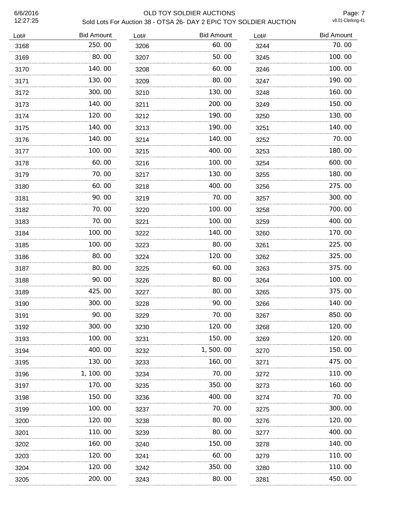# 6/6/2016 OLD TOY SOLDIER AUCTIONS Sold Lots For Auction 38 - OTSA 26- DAY 2 EPIC TOY SOLDIER AUCTION

Page: 7<br>v8.01-Clerking-41

| Lot# | <b>Bid Amount</b> | Lot# | <b>Bid Amount</b> | Lot# | <b>Bid Amount</b> |
|------|-------------------|------|-------------------|------|-------------------|
| 3168 | 250.00            | 3206 | 60.00             | 3244 | 70.00             |
| 3169 | 80.00             | 3207 | 50.00             | 3245 | 100.00            |
| 3170 | 140.00            | 3208 | 60.00             | 3246 | 100.00            |
| 3171 | 130.00            | 3209 | 80.00             | 3247 | 190.00            |
| 3172 | 300.00            | 3210 | 130.00            | 3248 | 160.00            |
| 3173 | 140.00            | 3211 | 200.00            | 3249 | 150.00            |
| 3174 | 120.00            | 3212 | 190.00            | 3250 | 130.00            |
| 3175 | 140.00            | 3213 | 190.00            | 3251 | 140.00            |
| 3176 | 140.00            | 3214 | 140.00            | 3252 | 70.00             |
| 3177 | 100.00            | 3215 | 400.00            | 3253 | 180.00            |
| 3178 | 60.00             | 3216 | 100.00            | 3254 | 600.00            |
| 3179 | 70.00             | 3217 | 130.00            | 3255 | 180.00            |
| 3180 | 60.00<br>.        | 3218 | 400.00<br>.       | 3256 | 275.00            |
| 3181 | 90.00             | 3219 | 70.00             | 3257 | 300.00            |
| 3182 | 70.00             | 3220 | 100.00            | 3258 | 700.00            |
| 3183 | 70.00             | 3221 | 100.00            | 3259 | 400.00            |
| 3184 | 100.00            | 3222 | 140.00            | 3260 | 170.00            |
| 3185 | 100.00            | 3223 | 80.00             | 3261 | 225.00            |
| 3186 | 80.00             | 3224 | 120.00            | 3262 | 325.00            |
| 3187 | 80.00             | 3225 | 60.00             | 3263 | 375.00            |
| 3188 | 90.00             | 3226 | 80.00             | 3264 | 100.00            |
| 3189 | 425.00            | 3227 | 80.00             | 3265 | 375.00            |
| 3190 | 300.00            | 3228 | 90.00             | 3266 | 140.00            |
| 3191 | 90.00             | 3229 | 70.00             | 3267 | 850.00            |
| 3192 | 300.00            | 3230 | 120.00            | 3268 | 120.00            |
| 3193 | 100.00            | 3231 | 150.00            | 3269 | 120.00            |
| 3194 | 400.00            | 3232 | 1, 500. 00        | 3270 | 150.00            |
| 3195 | 130.00            | 3233 | 160.00            | 3271 | 475.00            |
| 3196 | 1, 100. 00        | 3234 | 70.00             | 3272 | 110.00            |
| 3197 | 170.00            | 3235 | 350.00            | 3273 | 160.00            |
| 3198 | 150.00            | 3236 | 400.00            | 3274 | 70.00             |
| 3199 | 100.00            | 3237 | 70.00             | 3275 | 300.00            |
| 3200 | 120.00            | 3238 | 80.00             | 3276 | 120.00            |
| 3201 | 110.00            | 3239 | 80.00             | 3277 | 400.00            |
| 3202 | 160.00<br>.       | 3240 | 150.00            | 3278 | 140. 00           |
| 3203 | 120.00            | 3241 | 60.00             | 3279 | 110.00            |
| 3204 | 120.00            | 3242 | 350.00            | 3280 | 110.00            |
| 3205 | 200.00            | 3243 | 80.00             | 3281 | 450.00            |
|      |                   |      |                   |      |                   |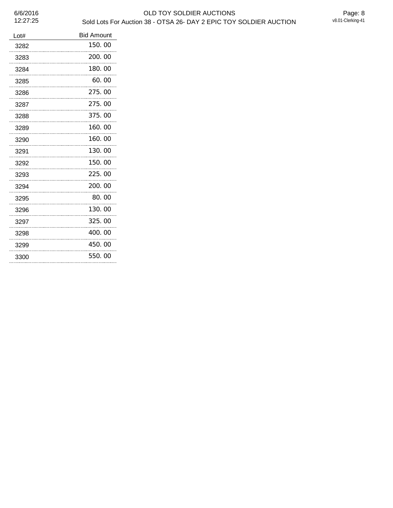# 6/6/2016 OLD TOY SOLDIER AUCTIONS Sold Lots For Auction 38 - OTSA 26- DAY 2 EPIC TOY SOLDIER AUCTION

| Lot# | <b>Bid Amount</b> |
|------|-------------------|
| 3282 | 150.00            |
| 3283 | 200.00            |
| 3284 | 180.00            |
| 3285 | 60.00             |
| 3286 | 275.00            |
| 3287 | 275,00            |
| 3288 | 375.00            |
| 3289 | 160.00            |
| 3290 | 160.00<br>.       |
| 3291 | 130.00            |
| 3292 | 150.00            |
| 3293 | 225.00            |
| 3294 | 200.00            |
| 3295 | 80.00             |
| 3296 | 130.00            |
| 3297 | 325.00<br>        |
| 3298 | 400.00            |
| 3299 | 450.00<br>.       |
| 3300 | 550.00<br>        |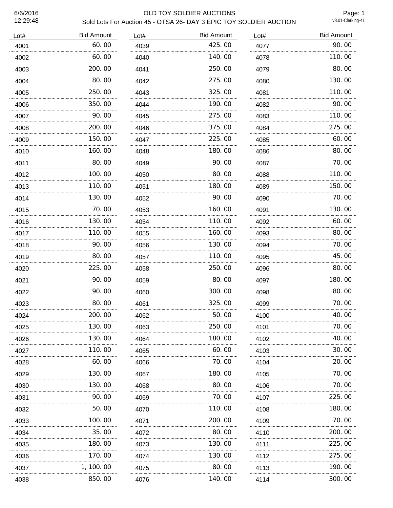# 6/6/2016 OLD TOY SOLDIER AUCTIONS Sold Lots For Auction 45 - OTSA 26- DAY 3 EPIC TOY SOLDIER AUCTION

Page: 1<br>v8.01-Clerking-41

| Lot# | <b>Bid Amount</b> | Lot# | <b>Bid Amount</b> | Lot# | <b>Bid Amount</b> |
|------|-------------------|------|-------------------|------|-------------------|
| 4001 | 60.00             | 4039 | 425.00            | 4077 | 90.00             |
| 4002 | 60.00             | 4040 | 140.00            | 4078 | 110.00            |
| 4003 | 200.00            | 4041 | 250.00            | 4079 | 80.00             |
| 4004 | 80.00             | 4042 | 275.00            | 4080 | 130.00            |
| 4005 | 250.00            | 4043 | 325.00            | 4081 | 110.00            |
| 4006 | 350.00            | 4044 | 190.00            | 4082 | 90.00             |
| 4007 | 90.00             | 4045 | 275.00            | 4083 | 110.00            |
| 4008 | 200.00            | 4046 | 375.00            | 4084 | 275.00            |
| 4009 | 150.00            | 4047 | 225.00            | 4085 | 60.00             |
| 4010 | 160.00            | 4048 | 180.00            | 4086 | 80.00             |
| 4011 | 80.00             | 4049 | 90.00             | 4087 | 70.00             |
| 4012 | 100.00            | 4050 | 80.00             | 4088 | 110.00            |
| 4013 | 110.00            | 4051 | 180.00            | 4089 | 150.00            |
| 4014 | 130.00            | 4052 | 90.00             | 4090 | 70.00             |
| 4015 | 70.00             | 4053 | 160.00            | 4091 | 130.00            |
| 4016 | 130.00            | 4054 | 110.00            | 4092 | 60.00             |
| 4017 | 110.00            | 4055 | 160.00            | 4093 | 80.00             |
| 4018 | 90.00             | 4056 | 130.00            | 4094 | 70.00             |
| 4019 | 80.00             | 4057 | 110.00            | 4095 | 45.00             |
| 4020 | 225.00            | 4058 | 250.00            | 4096 | 80.00             |
| 4021 | 90.00             | 4059 | 80.00             | 4097 | 180.00            |
| 4022 | 90.00             | 4060 | 300.00            | 4098 | 80.00             |
| 4023 | 80.00             | 4061 | 325.00            | 4099 | 70.00             |
| 4024 | 200.00            | 4062 | 50.00             | 4100 | 40.00             |
| 4025 | 130.00            | 4063 | 250.00            | 4101 | 70.00             |
| 4026 | 130.00            | 4064 | 180.00            | 4102 | 40.00             |
| 4027 | 110.00            | 4065 | 60.00             | 4103 | 30. 00            |
| 4028 | 60.00             | 4066 | 70.00             | 4104 | 20.00             |
| 4029 | 130.00            | 4067 | 180.00            | 4105 | 70.00             |
| 4030 | 130.00            | 4068 | 80.00             | 4106 | 70.00             |
| 4031 | 90.00             | 4069 | 70. 00            | 4107 | 225.00            |
| 4032 | 50.00             | 4070 | 110.00            | 4108 | 180.00            |
| 4033 | 100.00            | 4071 | 200.00            | 4109 | 70.00             |
| 4034 | 35.00             | 4072 | 80.00             | 4110 | 200.00            |
| 4035 | 180.00            | 4073 | 130.00            | 4111 | 225.00            |
| 4036 | 170.00            | 4074 | 130.00            | 4112 | 275.00            |
| 4037 | 1, 100. 00        | 4075 | 80.00             | 4113 | 190.00            |
| 4038 | 850.00            | 4076 | 140. 00           | 4114 | 300. 00           |
|      |                   |      |                   |      |                   |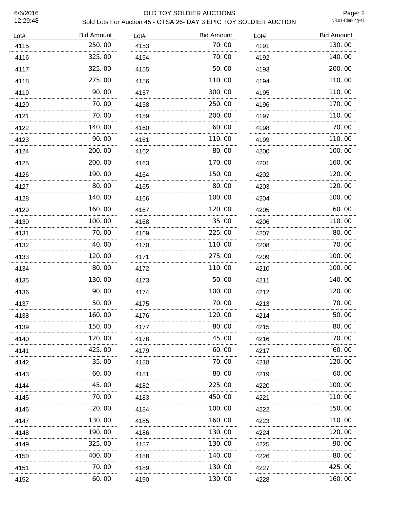# 6/6/2016 OLD TOY SOLDIER AUCTIONS Sold Lots For Auction 45 - OTSA 26- DAY 3 EPIC TOY SOLDIER AUCTION

Page: 2<br>v8.01-Clerking-41

| Lot# | <b>Bid Amount</b> | Lot# | <b>Bid Amount</b> | Lot# | <b>Bid Amount</b> |
|------|-------------------|------|-------------------|------|-------------------|
| 4115 | 250.00            | 4153 | 70.00             | 4191 | 130.00            |
| 4116 | 325.00            | 4154 | 70.00             | 4192 | 140.00            |
| 4117 | 325.00            | 4155 | 50.00             | 4193 | 200.00            |
| 4118 | 275.00            | 4156 | 110.00            | 4194 | 110.00            |
| 4119 | 90.00             | 4157 | 300.00            | 4195 | 110.00            |
| 4120 | 70.00             | 4158 | 250.00            | 4196 | 170.00            |
| 4121 | 70.00             | 4159 | 200.00            | 4197 | 110.00            |
| 4122 | 140.00            | 4160 | 60.00             | 4198 | 70.00             |
| 4123 | 90.00             | 4161 | 110.00            | 4199 | 110.00            |
| 4124 | 200.00            | 4162 | 80.00             | 4200 | 100.00            |
| 4125 | 200.00            | 4163 | 170.00            | 4201 | 160.00            |
| 4126 | 190.00            | 4164 | 150.00            | 4202 | 120.00            |
| 4127 | 80.00             | 4165 | 80.00             | 4203 | 120.00            |
| 4128 | 140.00            | 4166 | 100.00            | 4204 | 100.00            |
| 4129 | 160.00            | 4167 | 120.00            | 4205 | 60.00             |
| 4130 | 100.00            | 4168 | 35.00             | 4206 | 110.00            |
| 4131 | 70.00             | 4169 | 225.00            | 4207 | 80.00             |
| 4132 | 40.00             | 4170 | 110.00            | 4208 | 70.00             |
| 4133 | 120, 00           | 4171 | 275.00            | 4209 | 100.00            |
| 4134 | 80.00             | 4172 | 110.00            | 4210 | 100.00            |
| 4135 | 130.00            | 4173 | 50.00             | 4211 | 140.00            |
| 4136 | 90.00             | 4174 | 100.00            | 4212 | 120.00            |
| 4137 | 50.00             | 4175 | 70.00             | 4213 | 70.00             |
| 4138 | 160.00            | 4176 | 120.00            | 4214 | 50.00             |
| 4139 | 150.00            | 4177 | 80.00             | 4215 | 80.00             |
| 4140 | 120.00            | 4178 | 45.00             | 4216 | 70.00             |
| 4141 | 425.00            | 4179 | 60.00             | 4217 | 60.00             |
| 4142 | 35.00             | 4180 | 70.00             | 4218 | 120.00            |
| 4143 | 60.00             | 4181 | 80.00             | 4219 | 60.00             |
| 4144 | 45.00             | 4182 | 225.00            | 4220 | 100.00            |
| 4145 | 70.00             | 4183 | 450.00            | 4221 | 110.00            |
| 4146 | 20.00             | 4184 | 100.00            | 4222 | 150.00            |
| 4147 | 130.00            | 4185 | 160.00            | 4223 | 110.00            |
| 4148 | 190.00            | 4186 | 130.00            | 4224 | 120.00            |
| 4149 | 325.00            | 4187 | 130.00            | 4225 | 90.00             |
| 4150 | 400.00            | 4188 | 140.00            | 4226 | 80.00             |
| 4151 | 70.00             | 4189 | 130.00            | 4227 | 425.00            |
| 4152 | 60.00             | 4190 | 130.00            | 4228 | 160.00            |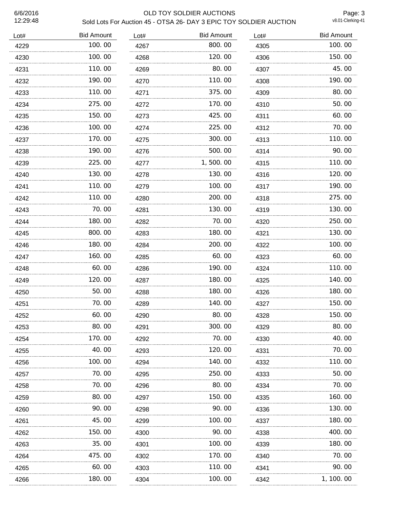# 6/6/2016 OLD TOY SOLDIER AUCTIONS Sold Lots For Auction 45 - OTSA 26- DAY 3 EPIC TOY SOLDIER AUCTION

Page: 3<br>v8.01-Clerking-41

| Lot# | <b>Bid Amount</b> | Lot# | <b>Bid Amount</b> | Lot# | <b>Bid Amount</b> |
|------|-------------------|------|-------------------|------|-------------------|
| 4229 | 100.00            | 4267 | 800.00            | 4305 | 100.00            |
| 4230 | 100.00            | 4268 | 120.00            | 4306 | 150.00            |
| 4231 | 110.00            | 4269 | 80.00             | 4307 | 45.00             |
| 4232 | 190.00            | 4270 | 110.00            | 4308 | 190.00            |
| 4233 | 110.00            | 4271 | 375.00            | 4309 | 80.00             |
| 4234 | 275.00            | 4272 | 170.00            | 4310 | 50.00             |
| 4235 | 150.00            | 4273 | 425.00            | 4311 | 60.00             |
| 4236 | 100.00            | 4274 | 225.00            | 4312 | 70.00             |
| 4237 | 170.00            | 4275 | 300.00            | 4313 | 110.00            |
| 4238 | 190.00            | 4276 | 500.00            | 4314 | 90.00             |
| 4239 | 225.00            | 4277 | 1,500.00          | 4315 | 110.00            |
| 4240 | 130.00            | 4278 | 130.00            | 4316 | 120.00            |
| 4241 | 110.00            | 4279 | 100.00            | 4317 | 190.00            |
| 4242 | 110.00            | 4280 | 200.00            | 4318 | 275.00            |
| 4243 | 70.00             | 4281 | 130.00            | 4319 | 130.00            |
| 4244 | 180.00            | 4282 | 70.00             | 4320 | 250.00            |
| 4245 | 800.00            | 4283 | 180.00            | 4321 | 130.00            |
| 4246 | 180.00            | 4284 | 200.00            | 4322 | 100.00            |
| 4247 | 160.00            | 4285 | 60.00             | 4323 | 60.00             |
| 4248 | 60.00             | 4286 | 190.00            | 4324 | 110.00            |
| 4249 | 120, 00           | 4287 | 180.00            | 4325 | 140.00            |
| 4250 | 50.00             | 4288 | 180.00            | 4326 | 180.00            |
| 4251 | 70.00             | 4289 | 140.00            | 4327 | 150.00            |
| 4252 | 60.00             | 4290 | 80.00             | 4328 | 150.00            |
| 4253 | 80.00             | 4291 | 300.00            | 4329 | 80.00             |
| 4254 | 170.00            | 4292 | 70.00             | 4330 | 40.00             |
| 4255 | 40.00             | 4293 | 120.00            | 4331 | 70.00             |
| 4256 | 100.00            | 4294 | 140.00            | 4332 | 110.00            |
| 4257 | 70.00             | 4295 | 250.00            | 4333 | 50.00             |
| 4258 | 70.00             | 4296 | 80.00             | 4334 | 70.00             |
| 4259 | 80.00             | 4297 | 150. 00           | 4335 | 160. 00           |
| 4260 | 90.00             | 4298 | 90.00             | 4336 | 130.00            |
| 4261 | 45.00             | 4299 | 100.00            | 4337 | 180.00            |
| 4262 | 150.00            | 4300 | 90.00             | 4338 | 400.00            |
| 4263 | 35.00             | 4301 | 100.00            | 4339 | 180.00            |
| 4264 | 475.00            | 4302 | 170.00            | 4340 | 70.00             |
| 4265 | 60.00             | 4303 | 110.00            | 4341 | 90.00             |
| 4266 | 180.00            | 4304 | 100.00            | 4342 | 1, 100.00         |
|      |                   |      |                   |      |                   |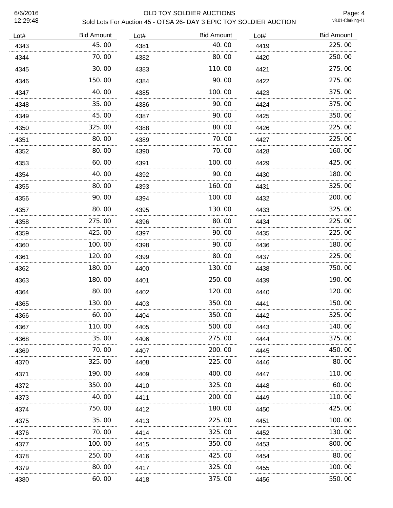# 6/6/2016 OLD TOY SOLDIER AUCTIONS Sold Lots For Auction 45 - OTSA 26- DAY 3 EPIC TOY SOLDIER AUCTION

Page: 4<br>v8.01-Clerking-41

| Lot# | <b>Bid Amount</b> | Lot# | <b>Bid Amount</b> | Lot# | <b>Bid Amount</b> |
|------|-------------------|------|-------------------|------|-------------------|
| 4343 | 45.00             | 4381 | 40.00             | 4419 | 225.00            |
| 4344 | 70.00             | 4382 | 80.00             | 4420 | 250.00            |
| 4345 | 30.00             | 4383 | 110.00            | 4421 | 275.00            |
| 4346 | 150.00            | 4384 | 90.00             | 4422 | 275.00            |
| 4347 | 40.00             | 4385 | 100.00            | 4423 | 375.00            |
| 4348 | 35.00             | 4386 | 90.00             | 4424 | 375.00            |
| 4349 | 45.00             | 4387 | 90.00             | 4425 | 350.00            |
| 4350 | 325.00            | 4388 | 80.00             | 4426 | 225.00            |
| 4351 | 80.00             | 4389 | 70.00             | 4427 | 225.00            |
| 4352 | 80.00             | 4390 | 70.00             | 4428 | 160.00            |
| 4353 | 60.00             | 4391 | 100.00            | 4429 | 425.00            |
| 4354 | 40.00             | 4392 | 90.00             | 4430 | 180.00            |
| 4355 | 80.00             | 4393 | 160.00            | 4431 | 325.00            |
| 4356 | 90.00             | 4394 | 100.00            | 4432 | 200.00            |
| 4357 | 80.00             | 4395 | 130.00            | 4433 | 325.00            |
| 4358 | 275.00            | 4396 | 80.00             | 4434 | 225.00            |
| 4359 | 425,00            | 4397 | 90.00             | 4435 | 225.00            |
| 4360 | 100.00            | 4398 | 90.00             | 4436 | 180.00            |
| 4361 | 120.00            | 4399 | 80.00             | 4437 | 225.00            |
| 4362 | 180.00            | 4400 | 130.00            | 4438 | 750.00            |
| 4363 | 180.00            | 4401 | 250.00            | 4439 | 190.00            |
| 4364 | 80.00             | 4402 | 120.00            | 4440 | 120.00            |
| 4365 | 130.00            | 4403 | 350.00            | 4441 | 150.00            |
| 4366 | 60.00             | 4404 | 350.00            | 4442 | 325.00            |
| 4367 | 110.00            | 4405 | 500.00            | 4443 | 140.00            |
| 4368 | 35.00             | 4406 | 275.00            | 4444 | 375.00            |
| 4369 | 70.00             | 4407 | 200.00            | 4445 | 450.00            |
| 4370 | 325.00            | 4408 | 225,00            | 4446 | 80.00             |
| 4371 | 190.00            | 4409 | 400.00            | 4447 | 110.00            |
| 4372 | 350.00            | 4410 | 325.00            | 4448 | 60.00             |
| 4373 | 40.00             | 4411 | 200.00            | 4449 | 110.00            |
| 4374 | 750. 00           | 4412 | 180.00            | 4450 | 425.00            |
| 4375 | 35.00             | 4413 | 225.00            | 4451 | 100.00            |
| 4376 | 70.00             | 4414 | 325.00            | 4452 | 130.00            |
| 4377 | 100. 00           | 4415 | 350.00            | 4453 | 800.00            |
| 4378 | 250.00            | 4416 | 425.00            | 4454 | 80.00             |
| 4379 | 80.00             | 4417 | 325.00            | 4455 | 100.00            |
| 4380 | 60.00             | 4418 | 375.00            | 4456 | 550.00            |
|      |                   |      |                   |      |                   |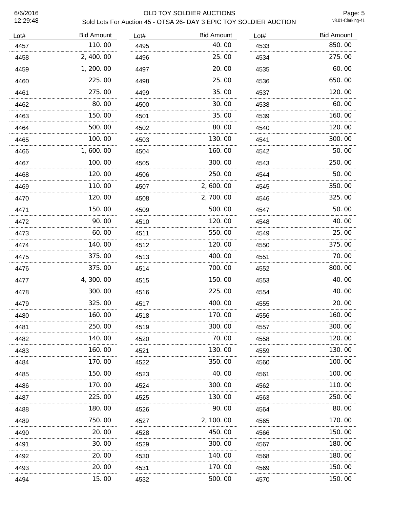# 6/6/2016 OLD TOY SOLDIER AUCTIONS Sold Lots For Auction 45 - OTSA 26- DAY 3 EPIC TOY SOLDIER AUCTION

Page: 5<br>v8.01-Clerking-41

| Lot# | <b>Bid Amount</b> | Lot# | <b>Bid Amount</b> | Lot# | <b>Bid Amount</b> |
|------|-------------------|------|-------------------|------|-------------------|
| 4457 | 110.00            | 4495 | 40.00             | 4533 | 850.00            |
| 4458 | 2, 400.00         | 4496 | 25.00             | 4534 | 275.00            |
| 4459 | 1, 200. 00        | 4497 | 20.00             | 4535 | 60.00             |
| 4460 | 225.00            | 4498 | 25.00             | 4536 | 650.00            |
| 4461 | 275.00            | 4499 | 35.00             | 4537 | 120.00            |
| 4462 | 80.00             | 4500 | 30.00             | 4538 | 60.00             |
| 4463 | 150.00            | 4501 | 35.00             | 4539 | 160.00            |
| 4464 | 500.00            | 4502 | 80.00             | 4540 | 120.00            |
| 4465 | 100.00            | 4503 | 130.00            | 4541 | 300.00            |
| 4466 | 1,600.00          | 4504 | 160.00            | 4542 | 50.00             |
| 4467 | 100.00            | 4505 | 300.00            | 4543 | 250.00            |
| 4468 | 120.00            | 4506 | 250.00            | 4544 | 50.00             |
| 4469 | 110.00            | 4507 | 2,600.00          | 4545 | 350.00            |
| 4470 | 120.00            | 4508 | 2,700.00          | 4546 | 325.00            |
| 4471 | 150.00            | 4509 | 500.00            | 4547 | 50.00             |
| 4472 | 90.00             | 4510 | 120.00            | 4548 | 40.00             |
| 4473 | 60.00             | 4511 | 550.00            | 4549 | 25.00             |
| 4474 | 140.00            | 4512 | 120.00            | 4550 | 375.00            |
| 4475 | 375.00            | 4513 | 400.00            | 4551 | 70.00             |
| 4476 | 375.00            | 4514 | 700.00            | 4552 | 800.00            |
| 4477 | 4,300.00          | 4515 | 150.00            | 4553 | 40.00             |
| 4478 | 300.00            | 4516 | 225.00            | 4554 | 40.00             |
| 4479 | 325.00            | 4517 | 400.00            | 4555 | 20.00             |
| 4480 | 160.00            | 4518 | 170.00            | 4556 | 160.00            |
| 4481 | 250.00            | 4519 | 300.00            | 4557 | 300.00            |
| 4482 | 140.00            | 4520 | 70.00             | 4558 | 120.00            |
| 4483 | 160.00            | 4521 | 130.00            | 4559 | 130.00            |
| 4484 | 170.00            | 4522 | 350.00            | 4560 | 100.00            |
| 4485 | 150.00            | 4523 | 40.00             | 4561 | 100.00            |
| 4486 | 170.00            | 4524 | 300.00            | 4562 | 110.00            |
| 4487 | 225.00            | 4525 | 130.00            | 4563 | 250.00            |
| 4488 | 180.00            | 4526 | 90.00             | 4564 | 80.00             |
| 4489 | 750.00            | 4527 | 2, 100. 00        | 4565 | 170.00            |
| 4490 | 20.00             | 4528 | 450.00            | 4566 | 150.00            |
| 4491 | 30.00             | 4529 | 300.00            | 4567 | 180.00            |
| 4492 | 20.00             | 4530 | 140.00            | 4568 | 180. 00           |
| 4493 | 20.00<br>.        | 4531 | 170.00<br>.       | 4569 | 150.00<br>.       |
| 4494 | 15.00             | 4532 | 500.00            | 4570 | 150. 00           |